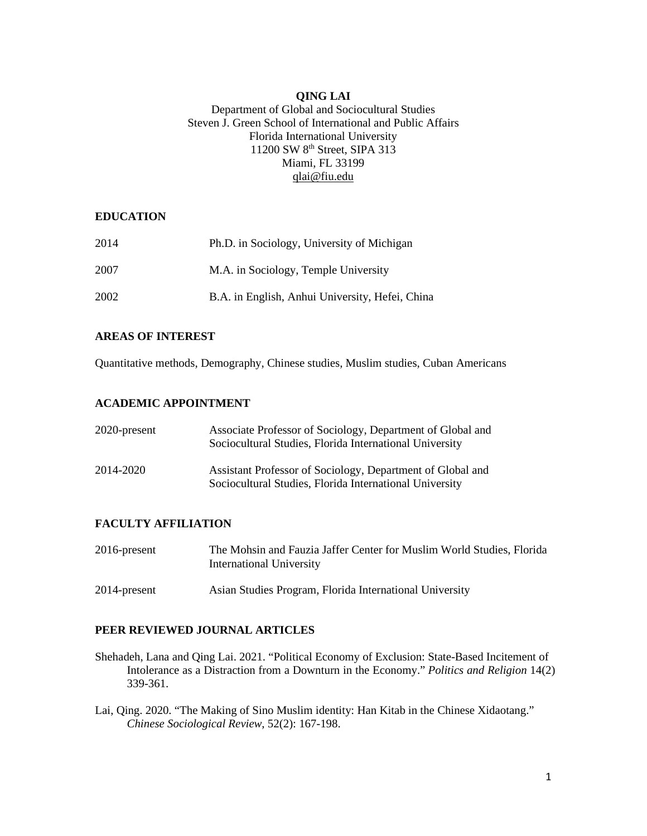# **QING LAI**

### Department of Global and Sociocultural Studies Steven J. Green School of International and Public Affairs Florida International University 11200 SW 8<sup>th</sup> Street, SIPA 313 Miami, FL 33199 [qlai@fiu.edu](mailto:qlai@fiu.edu)

### **EDUCATION**

| 2014 | Ph.D. in Sociology, University of Michigan      |
|------|-------------------------------------------------|
| 2007 | M.A. in Sociology, Temple University            |
| 2002 | B.A. in English, Anhui University, Hefei, China |

### **AREAS OF INTEREST**

Quantitative methods, Demography, Chinese studies, Muslim studies, Cuban Americans

# **ACADEMIC APPOINTMENT**

| 2020-present | Associate Professor of Sociology, Department of Global and<br>Sociocultural Studies, Florida International University |
|--------------|-----------------------------------------------------------------------------------------------------------------------|
| 2014-2020    | Assistant Professor of Sociology, Department of Global and<br>Sociocultural Studies, Florida International University |

# **FACULTY AFFILIATION**

| 2016-present | The Mohsin and Fauzia Jaffer Center for Muslim World Studies, Florida<br>International University |
|--------------|---------------------------------------------------------------------------------------------------|
| 2014-present | Asian Studies Program, Florida International University                                           |

# **PEER REVIEWED JOURNAL ARTICLES**

- Shehadeh, Lana and Qing Lai. 2021. "Political Economy of Exclusion: State-Based Incitement of Intolerance as a Distraction from a Downturn in the Economy." *Politics and Religion* 14(2) 339-361.
- Lai, Qing. 2020. "The Making of Sino Muslim identity: Han Kitab in the Chinese Xidaotang." *Chinese Sociological Review*, 52(2): 167-198.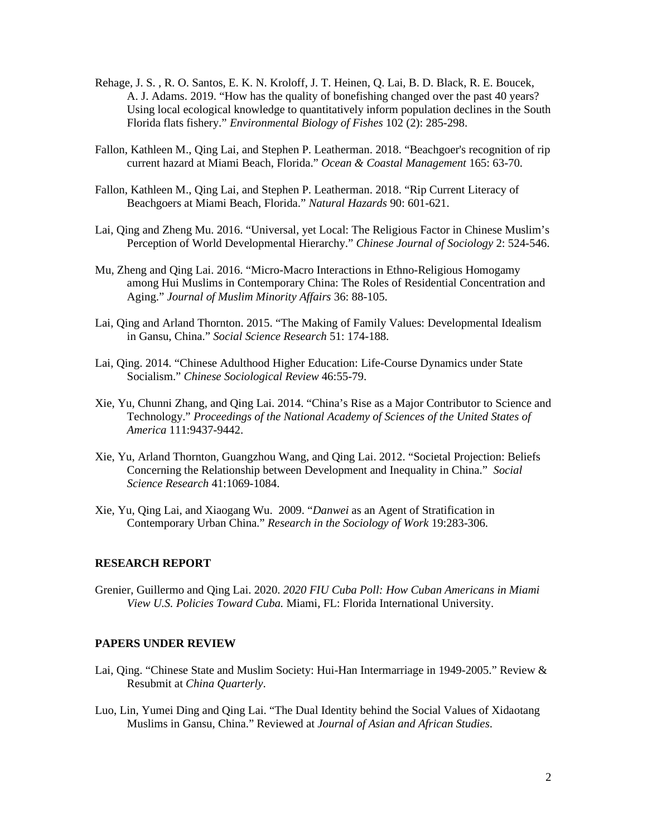- Rehage, J. S. , R. O. Santos, E. K. N. Kroloff, J. T. Heinen, Q. Lai, B. D. Black, R. E. Boucek, A. J. Adams. 2019. "How has the quality of bonefishing changed over the past 40 years? Using local ecological knowledge to quantitatively inform population declines in the South Florida flats fishery." *Environmental Biology of Fishes* 102 (2): 285-298.
- Fallon, Kathleen M., Qing Lai, and Stephen P. Leatherman. 2018. "Beachgoer's recognition of rip current hazard at Miami Beach, Florida." *Ocean & Coastal Management* 165: 63-70.
- Fallon, Kathleen M., Qing Lai, and Stephen P. Leatherman. 2018. "Rip Current Literacy of Beachgoers at Miami Beach, Florida." *Natural Hazards* 90: 601-621.
- Lai, Qing and Zheng Mu. 2016. "Universal, yet Local: The Religious Factor in Chinese Muslim's Perception of World Developmental Hierarchy." *Chinese Journal of Sociology* 2: 524-546.
- Mu, Zheng and Qing Lai. 2016. "Micro-Macro Interactions in Ethno-Religious Homogamy among Hui Muslims in Contemporary China: The Roles of Residential Concentration and Aging." *Journal of Muslim Minority Affairs* 36: 88-105.
- Lai, Qing and Arland Thornton. 2015. "The Making of Family Values: Developmental Idealism in Gansu, China." *Social Science Research* 51: 174-188.
- Lai, Qing. 2014. "Chinese Adulthood Higher Education: Life-Course Dynamics under State Socialism." *Chinese Sociological Review* 46:55-79.
- Xie, Yu, Chunni Zhang, and Qing Lai. 2014. "China's Rise as a Major Contributor to Science and Technology." *Proceedings of the National Academy of Sciences of the United States of America* 111:9437-9442.
- Xie, Yu, Arland Thornton, Guangzhou Wang, and Qing Lai. 2012. "Societal Projection: Beliefs Concerning the Relationship between Development and Inequality in China." *Social Science Research* 41:1069-1084.
- Xie, Yu, Qing Lai, and Xiaogang Wu. 2009. "*Danwei* as an Agent of Stratification in Contemporary Urban China." *Research in the Sociology of Work* 19:283-306.

### **RESEARCH REPORT**

Grenier, Guillermo and Qing Lai. 2020. *2020 FIU Cuba Poll: How Cuban Americans in Miami View U.S. Policies Toward Cuba.* Miami, FL: Florida International University.

#### **PAPERS UNDER REVIEW**

- Lai, Qing. "Chinese State and Muslim Society: Hui-Han Intermarriage in 1949-2005." Review & Resubmit at *China Quarterly*.
- Luo, Lin, Yumei Ding and Qing Lai. "The Dual Identity behind the Social Values of Xidaotang Muslims in Gansu, China." Reviewed at *Journal of Asian and African Studies*.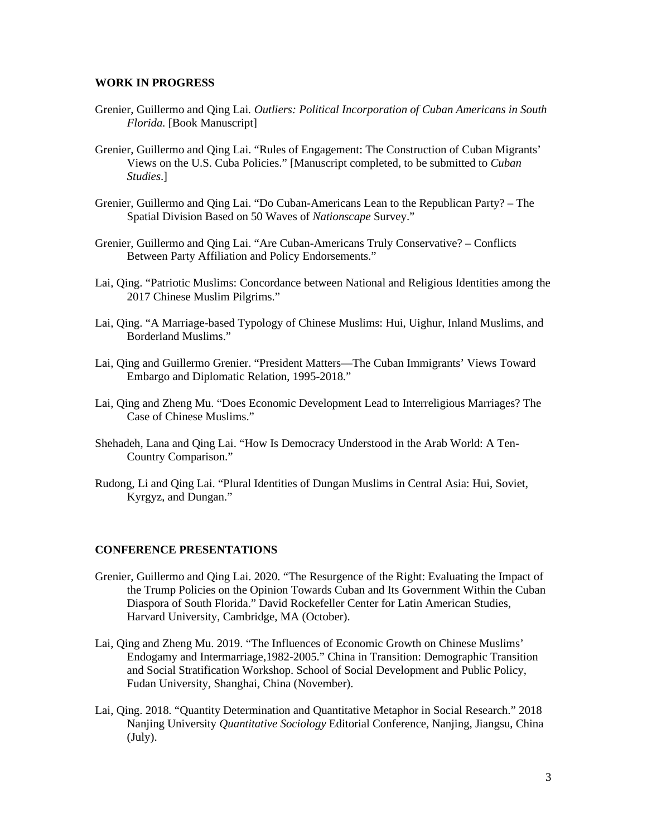### **WORK IN PROGRESS**

- Grenier, Guillermo and Qing Lai*. Outliers: Political Incorporation of Cuban Americans in South Florida.* [Book Manuscript]
- Grenier, Guillermo and Qing Lai. "Rules of Engagement: The Construction of Cuban Migrants' Views on the U.S. Cuba Policies." [Manuscript completed, to be submitted to *Cuban Studies*.]
- Grenier, Guillermo and Qing Lai. "Do Cuban-Americans Lean to the Republican Party? The Spatial Division Based on 50 Waves of *Nationscape* Survey."
- Grenier, Guillermo and Qing Lai. "Are Cuban-Americans Truly Conservative? Conflicts Between Party Affiliation and Policy Endorsements."
- Lai, Qing. "Patriotic Muslims: Concordance between National and Religious Identities among the 2017 Chinese Muslim Pilgrims."
- Lai, Qing. "A Marriage-based Typology of Chinese Muslims: Hui, Uighur, Inland Muslims, and Borderland Muslims."
- Lai, Qing and Guillermo Grenier. "President Matters—The Cuban Immigrants' Views Toward Embargo and Diplomatic Relation, 1995-2018."
- Lai, Qing and Zheng Mu. "Does Economic Development Lead to Interreligious Marriages? The Case of Chinese Muslims."
- Shehadeh, Lana and Qing Lai. "How Is Democracy Understood in the Arab World: A Ten-Country Comparison."
- Rudong, Li and Qing Lai. "Plural Identities of Dungan Muslims in Central Asia: Hui, Soviet, Kyrgyz, and Dungan."

#### **CONFERENCE PRESENTATIONS**

- Grenier, Guillermo and Qing Lai. 2020. "The Resurgence of the Right: Evaluating the Impact of the Trump Policies on the Opinion Towards Cuban and Its Government Within the Cuban Diaspora of South Florida." David Rockefeller Center for Latin American Studies, Harvard University, Cambridge, MA (October).
- Lai, Qing and Zheng Mu. 2019. "The Influences of Economic Growth on Chinese Muslims' Endogamy and Intermarriage,1982-2005." China in Transition: Demographic Transition and Social Stratification Workshop. School of Social Development and Public Policy, Fudan University, Shanghai, China (November).
- Lai, Qing. 2018. "Quantity Determination and Quantitative Metaphor in Social Research." 2018 Nanjing University *Quantitative Sociology* Editorial Conference, Nanjing, Jiangsu, China (July).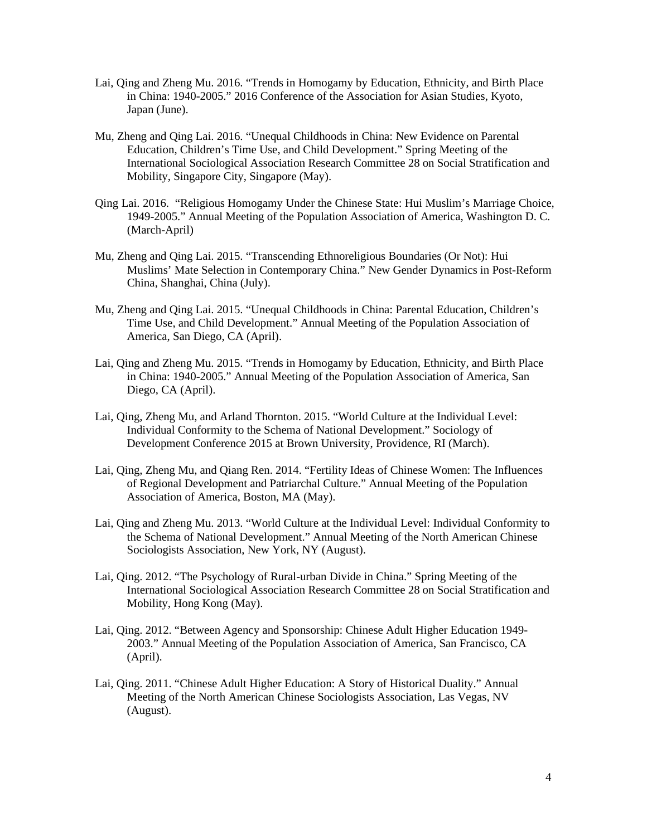- Lai, Qing and Zheng Mu. 2016. "Trends in Homogamy by Education, Ethnicity, and Birth Place in China: 1940-2005." 2016 Conference of the Association for Asian Studies, Kyoto, Japan (June).
- Mu, Zheng and Qing Lai. 2016. ["Unequal Childhoods in China: New Evidence on Parental](http://paa2015.princeton.edu/m/abstracts/151848)  [Education, Children's Time Use, and Child Development.](http://paa2015.princeton.edu/m/abstracts/151848)" Spring Meeting of the International Sociological Association Research Committee 28 on Social Stratification and Mobility, Singapore City, Singapore (May).
- Qing Lai. 2016. "Religious Homogamy Under the Chinese State: Hui Muslim's Marriage Choice, 1949-2005." Annual Meeting of the Population Association of America, Washington D. C. (March-April)
- Mu, Zheng and Qing Lai. 2015. "Transcending Ethnoreligious Boundaries (Or Not): Hui Muslims' Mate Selection in Contemporary China." New Gender Dynamics in Post-Reform China, Shanghai, China (July).
- Mu, Zheng and Qing Lai. 2015. ["Unequal Childhoods in China: Parental Education, Children's](http://paa2015.princeton.edu/m/abstracts/151848)  [Time Use, and Child Development.](http://paa2015.princeton.edu/m/abstracts/151848)" Annual Meeting of the Population Association of America, San Diego, CA (April).
- Lai, Qing and Zheng Mu. 2015. "Trends in Homogamy by Education, Ethnicity, and Birth Place in China: 1940-2005." Annual Meeting of the Population Association of America, San Diego, CA (April).
- Lai, Qing, Zheng Mu, and Arland Thornton. 2015. "World Culture at the Individual Level: Individual Conformity to the Schema of National Development." Sociology of Development Conference 2015 at Brown University, Providence, RI (March).
- Lai, Qing, Zheng Mu, and Qiang Ren. 2014. "Fertility Ideas of Chinese Women: The Influences of Regional Development and Patriarchal Culture." Annual Meeting of the Population Association of America, Boston, MA (May).
- Lai, Qing and Zheng Mu. 2013. "World Culture at the Individual Level: Individual Conformity to the Schema of National Development." Annual Meeting of the North American Chinese Sociologists Association, New York, NY (August).
- Lai, Qing. 2012. "The Psychology of Rural-urban Divide in China." Spring Meeting of the International Sociological Association Research Committee 28 on Social Stratification and Mobility, Hong Kong (May).
- Lai, Qing. 2012. "Between Agency and Sponsorship: Chinese Adult Higher Education 1949- 2003." Annual Meeting of the Population Association of America, San Francisco, CA (April).
- Lai, Qing. 2011. "Chinese Adult Higher Education: A Story of Historical Duality." Annual Meeting of the North American Chinese Sociologists Association, Las Vegas, NV (August).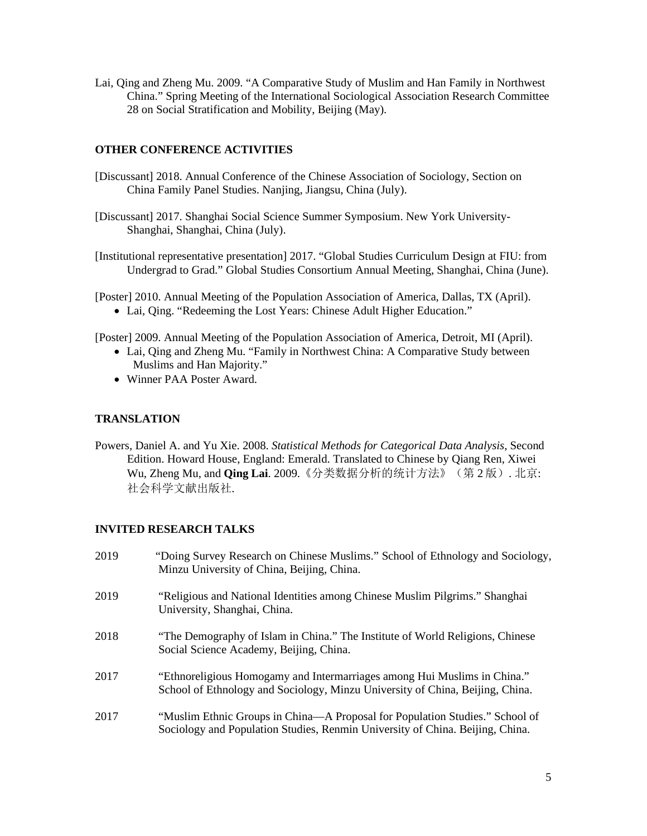Lai, Qing and Zheng Mu. 2009. "A Comparative Study of Muslim and Han Family in Northwest China." Spring Meeting of the International Sociological Association Research Committee 28 on Social Stratification and Mobility, Beijing (May).

## **OTHER CONFERENCE ACTIVITIES**

- [Discussant] 2018. Annual Conference of the Chinese Association of Sociology, Section on China Family Panel Studies. Nanjing, Jiangsu, China (July).
- [Discussant] 2017. Shanghai Social Science Summer Symposium. New York University-Shanghai, Shanghai, China (July).
- [Institutional representative presentation] 2017. "Global Studies Curriculum Design at FIU: from Undergrad to Grad." Global Studies Consortium Annual Meeting, Shanghai, China (June).
- [Poster] 2010. Annual Meeting of the Population Association of America, Dallas, TX (April).
	- Lai, Qing. "Redeeming the Lost Years: Chinese Adult Higher Education."

[Poster] 2009. Annual Meeting of the Population Association of America, Detroit, MI (April).

- Lai, Qing and Zheng Mu. "Family in Northwest China: A Comparative Study between Muslims and Han Majority."
- Winner PAA Poster Award.

### **TRANSLATION**

Powers, Daniel A. and Yu Xie. 2008. *Statistical Methods for Categorical Data Analysis*, Second Edition. Howard House, England: Emerald. Translated to Chinese by Qiang Ren, Xiwei Wu, Zheng Mu, and **Qing Lai**. 2009.《分类数据分析的统计方法》(第 2 版). 北京: 社会科学文献出版社.

### **INVITED RESEARCH TALKS**

| 2019 | "Doing Survey Research on Chinese Muslims." School of Ethnology and Sociology,<br>Minzu University of China, Beijing, China.                                  |
|------|---------------------------------------------------------------------------------------------------------------------------------------------------------------|
| 2019 | "Religious and National Identities among Chinese Muslim Pilgrims." Shanghai<br>University, Shanghai, China.                                                   |
| 2018 | "The Demography of Islam in China." The Institute of World Religions, Chinese<br>Social Science Academy, Beijing, China.                                      |
| 2017 | "Ethnoreligious Homogamy and Intermarriages among Hui Muslims in China."<br>School of Ethnology and Sociology, Minzu University of China, Beijing, China.     |
| 2017 | "Muslim Ethnic Groups in China—A Proposal for Population Studies." School of<br>Sociology and Population Studies, Renmin University of China. Beijing, China. |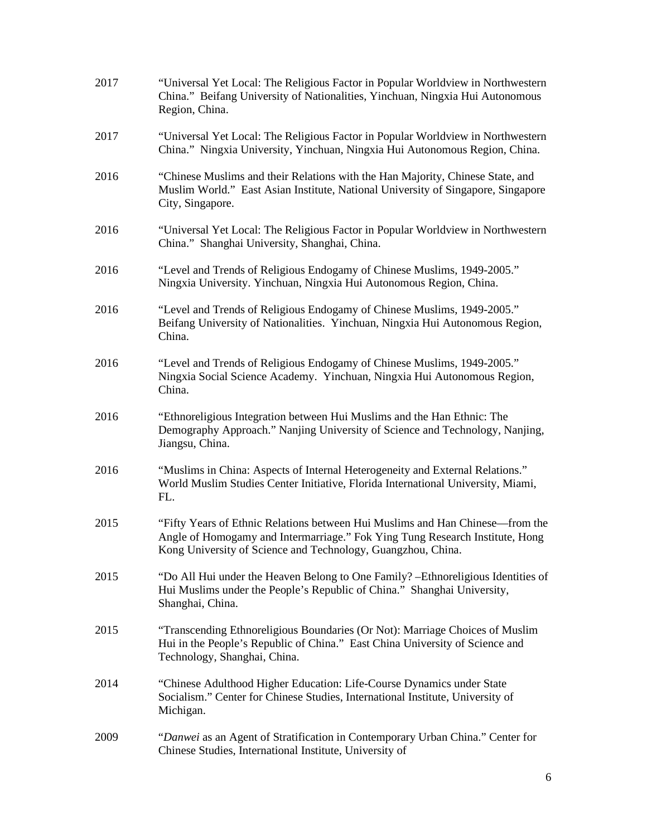| 2017 | "Universal Yet Local: The Religious Factor in Popular Worldview in Northwestern<br>China." Beifang University of Nationalities, Yinchuan, Ningxia Hui Autonomous<br>Region, China.                                            |
|------|-------------------------------------------------------------------------------------------------------------------------------------------------------------------------------------------------------------------------------|
| 2017 | "Universal Yet Local: The Religious Factor in Popular Worldview in Northwestern<br>China." Ningxia University, Yinchuan, Ningxia Hui Autonomous Region, China.                                                                |
| 2016 | "Chinese Muslims and their Relations with the Han Majority, Chinese State, and<br>Muslim World." East Asian Institute, National University of Singapore, Singapore<br>City, Singapore.                                        |
| 2016 | "Universal Yet Local: The Religious Factor in Popular Worldview in Northwestern<br>China." Shanghai University, Shanghai, China.                                                                                              |
| 2016 | "Level and Trends of Religious Endogamy of Chinese Muslims, 1949-2005."<br>Ningxia University. Yinchuan, Ningxia Hui Autonomous Region, China.                                                                                |
| 2016 | "Level and Trends of Religious Endogamy of Chinese Muslims, 1949-2005."<br>Beifang University of Nationalities. Yinchuan, Ningxia Hui Autonomous Region,<br>China.                                                            |
| 2016 | "Level and Trends of Religious Endogamy of Chinese Muslims, 1949-2005."<br>Ningxia Social Science Academy. Yinchuan, Ningxia Hui Autonomous Region,<br>China.                                                                 |
| 2016 | "Ethnoreligious Integration between Hui Muslims and the Han Ethnic: The<br>Demography Approach." Nanjing University of Science and Technology, Nanjing,<br>Jiangsu, China.                                                    |
| 2016 | "Muslims in China: Aspects of Internal Heterogeneity and External Relations."<br>World Muslim Studies Center Initiative, Florida International University, Miami,<br>FL.                                                      |
| 2015 | "Fifty Years of Ethnic Relations between Hui Muslims and Han Chinese—from the<br>Angle of Homogamy and Intermarriage." Fok Ying Tung Research Institute, Hong<br>Kong University of Science and Technology, Guangzhou, China. |
| 2015 | "Do All Hui under the Heaven Belong to One Family? - Ethnoreligious Identities of<br>Hui Muslims under the People's Republic of China." Shanghai University,<br>Shanghai, China.                                              |
| 2015 | "Transcending Ethnoreligious Boundaries (Or Not): Marriage Choices of Muslim<br>Hui in the People's Republic of China." East China University of Science and<br>Technology, Shanghai, China.                                  |
| 2014 | "Chinese Adulthood Higher Education: Life-Course Dynamics under State<br>Socialism." Center for Chinese Studies, International Institute, University of<br>Michigan.                                                          |
| 2009 | "Danwei as an Agent of Stratification in Contemporary Urban China." Center for<br>Chinese Studies, International Institute, University of                                                                                     |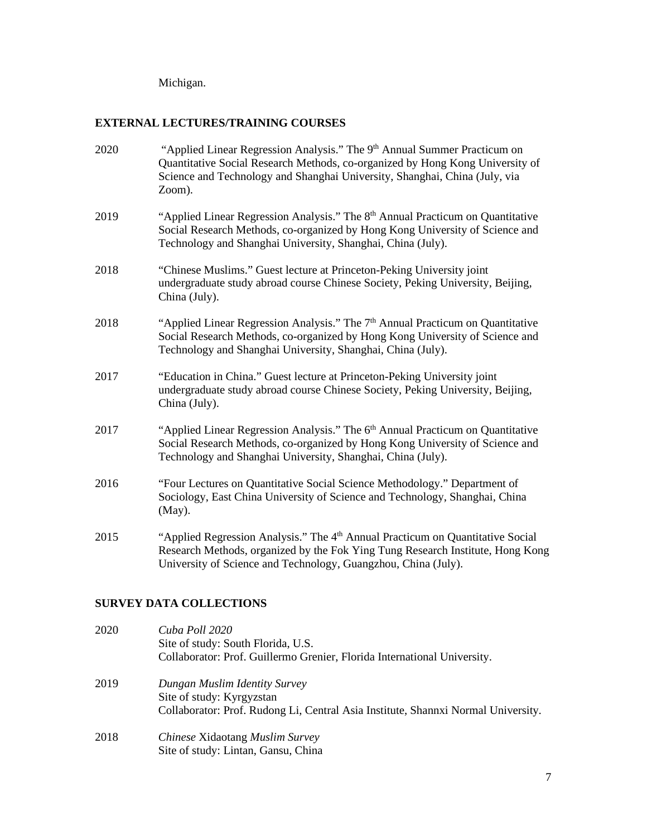Michigan.

# **EXTERNAL LECTURES/TRAINING COURSES**

| 2020 | "Applied Linear Regression Analysis." The 9 <sup>th</sup> Annual Summer Practicum on<br>Quantitative Social Research Methods, co-organized by Hong Kong University of<br>Science and Technology and Shanghai University, Shanghai, China (July, via<br>Zoom). |
|------|---------------------------------------------------------------------------------------------------------------------------------------------------------------------------------------------------------------------------------------------------------------|
| 2019 | "Applied Linear Regression Analysis." The 8 <sup>th</sup> Annual Practicum on Quantitative<br>Social Research Methods, co-organized by Hong Kong University of Science and<br>Technology and Shanghai University, Shanghai, China (July).                     |
| 2018 | "Chinese Muslims." Guest lecture at Princeton-Peking University joint<br>undergraduate study abroad course Chinese Society, Peking University, Beijing,<br>China (July).                                                                                      |
| 2018 | "Applied Linear Regression Analysis." The 7 <sup>th</sup> Annual Practicum on Quantitative<br>Social Research Methods, co-organized by Hong Kong University of Science and<br>Technology and Shanghai University, Shanghai, China (July).                     |
| 2017 | "Education in China." Guest lecture at Princeton-Peking University joint<br>undergraduate study abroad course Chinese Society, Peking University, Beijing,<br>China (July).                                                                                   |
| 2017 | "Applied Linear Regression Analysis." The 6 <sup>th</sup> Annual Practicum on Quantitative<br>Social Research Methods, co-organized by Hong Kong University of Science and<br>Technology and Shanghai University, Shanghai, China (July).                     |
| 2016 | "Four Lectures on Quantitative Social Science Methodology." Department of<br>Sociology, East China University of Science and Technology, Shanghai, China<br>$(May)$ .                                                                                         |
| 2015 | "Applied Regression Analysis." The 4 <sup>th</sup> Annual Practicum on Quantitative Social<br>Research Methods, organized by the Fok Ying Tung Research Institute, Hong Kong<br>University of Science and Technology, Guangzhou, China (July).                |

# **SURVEY DATA COLLECTIONS**

| 2020 | Cuba Poll 2020<br>Site of study: South Florida, U.S.<br>Collaborator: Prof. Guillermo Grenier, Florida International University.                |
|------|-------------------------------------------------------------------------------------------------------------------------------------------------|
| 2019 | Dungan Muslim Identity Survey<br>Site of study: Kyrgyzstan<br>Collaborator: Prof. Rudong Li, Central Asia Institute, Shannxi Normal University. |
| 2018 | Chinese Xidaotang Muslim Survey<br>Site of study: Lintan, Gansu, China                                                                          |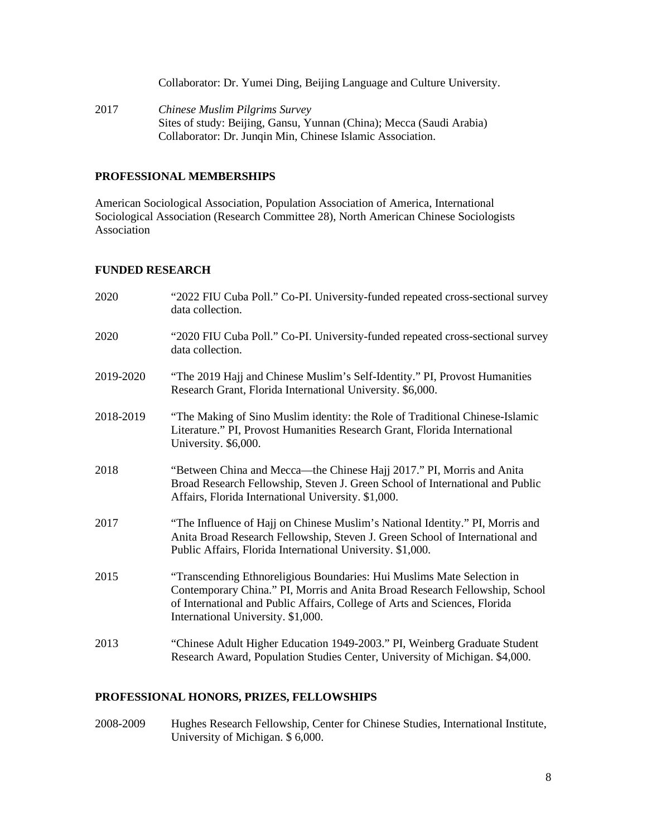Collaborator: Dr. Yumei Ding, Beijing Language and Culture University.

2017 *Chinese Muslim Pilgrims Survey* Sites of study: Beijing, Gansu, Yunnan (China); Mecca (Saudi Arabia) Collaborator: Dr. Junqin Min, Chinese Islamic Association.

## **PROFESSIONAL MEMBERSHIPS**

American Sociological Association, Population Association of America, International Sociological Association (Research Committee 28), North American Chinese Sociologists Association

## **FUNDED RESEARCH**

| 2020      | "2022 FIU Cuba Poll." Co-PI. University-funded repeated cross-sectional survey<br>data collection.                                                                                                                                                                        |
|-----------|---------------------------------------------------------------------------------------------------------------------------------------------------------------------------------------------------------------------------------------------------------------------------|
| 2020      | "2020 FIU Cuba Poll." Co-PI. University-funded repeated cross-sectional survey<br>data collection.                                                                                                                                                                        |
| 2019-2020 | "The 2019 Hajj and Chinese Muslim's Self-Identity." PI, Provost Humanities<br>Research Grant, Florida International University. \$6,000.                                                                                                                                  |
| 2018-2019 | "The Making of Sino Muslim identity: the Role of Traditional Chinese-Islamic<br>Literature." PI, Provost Humanities Research Grant, Florida International<br>University. \$6,000.                                                                                         |
| 2018      | "Between China and Mecca—the Chinese Hajj 2017." PI, Morris and Anita<br>Broad Research Fellowship, Steven J. Green School of International and Public<br>Affairs, Florida International University. \$1,000.                                                             |
| 2017      | "The Influence of Hajj on Chinese Muslim's National Identity." PI, Morris and<br>Anita Broad Research Fellowship, Steven J. Green School of International and<br>Public Affairs, Florida International University. \$1,000.                                               |
| 2015      | "Transcending Ethnoreligious Boundaries: Hui Muslims Mate Selection in<br>Contemporary China." PI, Morris and Anita Broad Research Fellowship, School<br>of International and Public Affairs, College of Arts and Sciences, Florida<br>International University. \$1,000. |
| 2013      | "Chinese Adult Higher Education 1949-2003." PI, Weinberg Graduate Student<br>Research Award, Population Studies Center, University of Michigan. \$4,000.                                                                                                                  |

# **PROFESSIONAL HONORS, PRIZES, FELLOWSHIPS**

2008-2009 Hughes Research Fellowship, Center for Chinese Studies, International Institute, University of Michigan. \$ 6,000.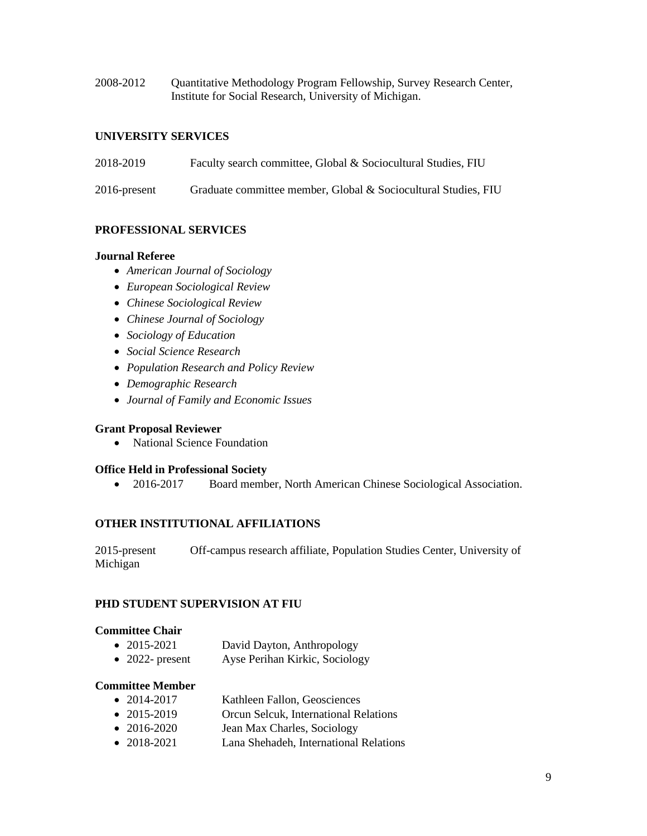2008-2012 Quantitative Methodology Program Fellowship, Survey Research Center, Institute for Social Research, University of Michigan.

## **UNIVERSITY SERVICES**

- 2018-2019 Faculty search committee, Global & Sociocultural Studies, FIU
- 2016-present Graduate committee member, Global & Sociocultural Studies, FIU

## **PROFESSIONAL SERVICES**

### **Journal Referee**

- *American Journal of Sociology*
- *European Sociological Review*
- *Chinese Sociological Review*
- *Chinese Journal of Sociology*
- *Sociology of Education*
- *Social Science Research*
- *Population Research and Policy Review*
- *Demographic Research*
- *Journal of Family and Economic Issues*

### **Grant Proposal Reviewer**

• National Science Foundation

### **Office Held in Professional Society**

• 2016-2017 Board member, North American Chinese Sociological Association.

### **OTHER INSTITUTIONAL AFFILIATIONS**

2015-present Off-campus research affiliate, Population Studies Center, University of Michigan

### **PHD STUDENT SUPERVISION AT FIU**

### **Committee Chair**

- 2015-2021 David Dayton, Anthropology
- 2022- present Ayse Perihan Kirkic, Sociology

### **Committee Member**

- 2014-2017 Kathleen Fallon, Geosciences
- 2015-2019 Orcun Selcuk, International Relations
- 2016-2020 Jean Max Charles, Sociology
- 2018-2021 Lana Shehadeh, International Relations